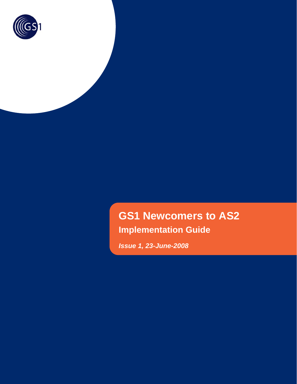

# **GS1 Newcomers to AS2 Implementation Guide**

*Issue 1, 23-June-2008*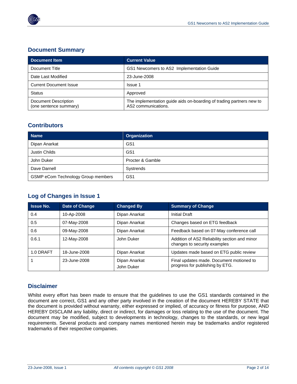

#### **Document Summary**

| <b>Document Item</b>                           | <b>Current Value</b>                                                                        |  |
|------------------------------------------------|---------------------------------------------------------------------------------------------|--|
| Document Title                                 | GS1 Newcomers to AS2 Implementation Guide                                                   |  |
| Date Last Modified                             | 23-June-2008                                                                                |  |
| <b>Current Document Issue</b>                  | <b>Issue 1</b>                                                                              |  |
| <b>Status</b>                                  | Approved                                                                                    |  |
| Document Description<br>(one sentence summary) | The implementation guide aids on-boarding of trading partners new to<br>AS2 communications. |  |

#### **Contributors**

| <b>Name</b>                        | <b>Organization</b> |
|------------------------------------|---------------------|
| Dipan Anarkat                      | GS <sub>1</sub>     |
| Justin Childs                      | GS <sub>1</sub>     |
| John Duker                         | Procter & Gamble    |
| Dave Darnell                       | Systrends           |
| GSMP eCom Technology Group members | GS <sub>1</sub>     |

#### **Log of Changes in Issue 1**

| <b>Issue No.</b> | Date of Change | <b>Changed By</b>           | <b>Summary of Change</b>                                                      |  |
|------------------|----------------|-----------------------------|-------------------------------------------------------------------------------|--|
| 0.4              | 10-Ap-2008     | Dipan Anarkat               | Initial Draft                                                                 |  |
| 0.5              | 07-May-2008    | Dipan Anarkat               | Changes based on ETG feedback                                                 |  |
| 0.6              | 09-May-2008    | Dipan Anarkat               | Feedback based on 07-May conference call                                      |  |
| 0.6.1            | 12-May-2008    | John Duker                  | Addition of AS2 Reliability section and minor<br>changes to security examples |  |
| 1.0 DRAFT        | 18-June-2008   | Dipan Anarkat               | Updates made based on ETG public review                                       |  |
|                  | 23-June-2008   | Dipan Anarkat<br>John Duker | Final updates made. Document motioned to<br>progress for publishing by ETG.   |  |

#### **Disclaimer**

Whilst every effort has been made to ensure that the guidelines to use the GS1 standards contained in the document are correct, GS1 and any other party involved in the creation of the document HEREBY STATE that the document is provided without warranty, either expressed or implied, of accuracy or fitness for purpose, AND HEREBY DISCLAIM any liability, direct or indirect, for damages or loss relating to the use of the document. The document may be modified, subject to developments in technology, changes to the standards, or new legal requirements. Several products and company names mentioned herein may be trademarks and/or registered trademarks of their respective companies.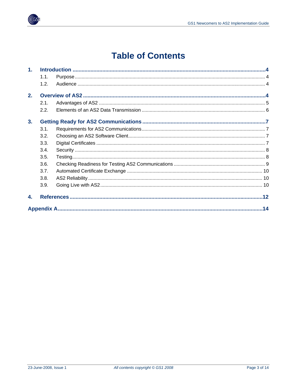

## **Table of Contents**

| 1 <sub>1</sub> |      |  |
|----------------|------|--|
|                | 1.1. |  |
|                | 1.2. |  |
| 2.             |      |  |
|                | 2.1. |  |
|                | 2.2. |  |
| 3.             |      |  |
|                | 3.1. |  |
|                | 3.2. |  |
|                | 3.3. |  |
|                | 3.4. |  |
|                | 3.5. |  |
|                | 3.6. |  |
|                | 3.7. |  |
|                | 3.8. |  |
|                | 3.9. |  |
| 4.             |      |  |
|                |      |  |

 $\sqrt[\infty]{G}$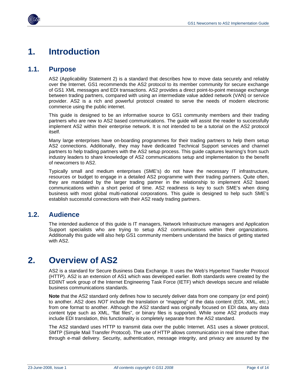<span id="page-3-1"></span><span id="page-3-0"></span>

#### <span id="page-3-2"></span>**1.1. Purpose**

AS2 (Applicability Statement 2) is a standard that describes how to move data securely and reliably over the Internet. GS1 recommends the AS2 protocol to its member community for secure exchange of GS1 XML messages and EDI transactions. AS2 provides a direct point-to-point message exchange between trading partners, compared with using an intermediate value added network (VAN) or service provider. AS2 is a rich and powerful protocol created to serve the needs of modern electronic commerce using the public internet.

This guide is designed to be an informative source to GS1 community members and their trading partners who are new to AS2 based communications. The guide will assist the reader to successfully implement AS2 within their enterprise network. It is not intended to be a tutorial on the AS2 protocol itself.

Many large enterprises have on-boarding programmes for their trading partners to help them setup AS2 connections. Additionally, they may have dedicated Technical Support services and channel partners to help trading partners with the AS2 setup process. This guide captures learning's from such industry leaders to share knowledge of AS2 communications setup and implementation to the benefit of newcomers to AS2.

Typically small and medium enterprises (SME's) do not have the necessary IT infrastructure, resources or budget to engage in a detailed AS2 programme with their trading partners. Quite often, they are mandated by the larger trading partner in the relationship to implement AS2 based communications within a short period of time. AS2 readiness is key to such SME's when doing business with most global multi-national corporations. This guide is designed to help such SME's establish successful connections with their AS2 ready trading partners.

#### <span id="page-3-3"></span>**1.2. Audience**

The intended audience of this guide is IT managers, Network Infrastructure managers and Application Support specialists who are trying to setup AS2 communications within their organizations. Additionally this guide will also help GS1 community members understand the basics of getting started with AS2.

### <span id="page-3-4"></span>**2. Overview of AS2**

AS2 is a standard for Secure Business Data Exchange. It uses the Web's Hypertext Transfer Protocol (HTTP). AS2 is an extension of AS1 which was developed earlier. Both standards were created by the EDIINT work group of the Internet Engineering Task Force (IETF) which develops secure and reliable business communications standards.

**Note** that the AS2 standard only defines how to securely deliver data from one company (or end point) to another. AS2 does *NOT* include the translation or "mapping" of the data content (EDI, XML, etc.) from one format to another. Although the AS2 standard was originally focused on EDI data, any data content type such as XML, "flat files", or binary files is supported. While some AS2 products may include EDI translation, this functionality is completely separate from the AS2 standard.

The AS2 standard uses HTTP to transmit data over the public Internet. AS1 uses a slower protocol, SMTP (Simple Mail Transfer Protocol). The use of HTTP allows communication in real time rather than through e-mail delivery. Security, authentication, message integrity, and privacy are assured by the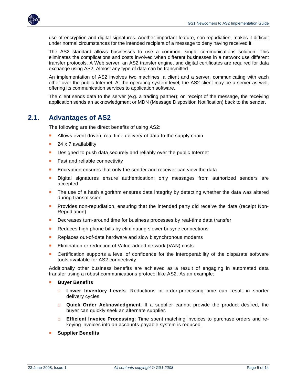<span id="page-4-0"></span>

use of encryption and digital signatures. Another important feature, non-repudiation, makes it difficult under normal circumstances for the intended recipient of a message to deny having received it.

The AS2 standard allows businesses to use a common, single communications solution. This eliminates the complications and costs involved when different businesses in a network use different transfer protocols. A Web server, an AS2 transfer engine, and digital certificates are required for data exchange using AS2. Almost any type of data can be transmitted.

An implementation of AS2 involves two machines, a client and a server, communicating with each other over the public Internet. At the operating system level, the AS2 client may be a server as well, offering its communication services to application software.

The client sends data to the server (e.g. a trading partner); on receipt of the message, the receiving application sends an acknowledgment or MDN (Message Disposition Notification) back to the sender.

#### <span id="page-4-1"></span>**2.1. Advantages of AS2**

The following are the direct benefits of using AS2:

- Allows event driven, real time delivery of data to the supply chain
- $\blacksquare$  24 x 7 availability
- Designed to push data securely and reliably over the public Internet
- Fast and reliable connectivity
- Encryption ensures that only the sender and receiver can view the data
- Digital signatures ensure authentication; only messages from authorized senders are accepted
- The use of a hash algorithm ensures data integrity by detecting whether the data was altered during transmission
- Provides non-repudiation, ensuring that the intended party did receive the data (receipt Non-Repudiation)
- Decreases turn-around time for business processes by real-time data transfer
- Reduces high phone bills by eliminating slower bi-sync connections
- Replaces out-of-date hardware and slow bisynchronous modems
- Elimination or reduction of Value-added network (VAN) costs
- Certification supports a level of confidence for the interoperability of the disparate software tools available for AS2 connectivity.

Additionally other business benefits are achieved as a result of engaging in automated data transfer using a robust communications protocol like AS2. As an example:

- **Buyer Benefits** 
	- □ **Lower Inventory Levels**: Reductions in order-processing time can result in shorter delivery cycles.
	- □ **Quick Order Acknowledgment**: If a supplier cannot provide the product desired, the buyer can quickly seek an alternate supplier.
	- □ **Efficient Invoice Processing**: Time spent matching invoices to purchase orders and rekeying invoices into an accounts-payable system is reduced.
- **Supplier Benefits**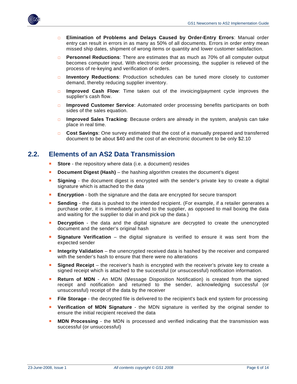<span id="page-5-0"></span>

- □ **Elimination of Problems and Delays Caused by Order-Entry Errors**: Manual order entry can result in errors in as many as 50% of all documents. Errors in order entry mean missed ship dates, shipment of wrong items or quantity and lower customer satisfaction.
- **Personnel Reductions:** There are estimates that as much as 70% of all computer output becomes computer input. With electronic order processing, the supplier is relieved of the process of re-keying and verification of orders.
- □ **Inventory Reductions**: Production schedules can be tuned more closely to customer demand, thereby reducing supplier inventory.
- □ **Improved Cash Flow**: Time taken out of the invoicing/payment cycle improves the supplier's cash flow.
- □ **Improved Customer Service**: Automated order processing benefits participants on both sides of the sales equation.
- □ **Improved Sales Tracking**: Because orders are already in the system, analysis can take place in real time.
- □ **Cost Savings**: One survey estimated that the cost of a manually prepared and transferred document to be about \$40 and the cost of an electronic document to be only \$2.10

#### <span id="page-5-1"></span>**2.2. Elements of an AS2 Data Transmission**

- **Store** the repository where data (i.e. a document) resides
- **Document Digest (Hash)** the hashing algorithm creates the document's digest
- **Signing** the document digest is encrypted with the sender's private key to create a digital signature which is attached to the data
- **Encryption** both the signature and the data are encrypted for secure transport
- **Sending** the data is pushed to the intended recipient. (For example, if a retailer generates a purchase order, it is immediately pushed to the supplier, as opposed to mail boxing the data and waiting for the supplier to dial in and pick up the data.)
- **Decryption** the data and the digital signature are decrypted to create the unencrypted document and the sender's original hash
- **Signature Verification** the digital signature is verified to ensure it was sent from the expected sender
- **Integrity Validation** the unencrypted received data is hashed by the receiver and compared with the sender's hash to ensure that there were no alterations
- **Signed Receipt** the receiver's hash is encrypted with the receiver's private key to create a signed receipt which is attached to the successful (or unsuccessful) notification information.
- **Return of MDN** An MDN (Message Disposition Notification) is created from the signed receipt and notification and returned to the sender, acknowledging successful (or unsuccessful) receipt of the data by the receiver
- **File Storage** the decrypted file is delivered to the recipient's back end system for processing
- **Verification of MDN Signature** the MDN signature is verified by the original sender to ensure the initial recipient received the data
- **MDN Processing** the MDN is processed and verified indicating that the transmission was successful (or unsuccessful)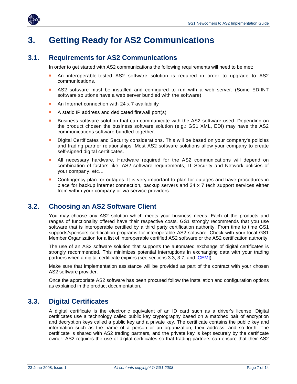<span id="page-6-0"></span>

### <span id="page-6-1"></span>**3. Getting Ready for AS2 Communications**

#### <span id="page-6-2"></span>**3.1. Requirements for AS2 Communications**

In order to get started with AS2 communications the following requirements will need to be met;

- An interoperable-tested AS2 software solution is required in order to upgrade to AS2 communications.
- AS2 software must be installed and configured to run with a web server. (Some EDIINT software solutions have a web server bundled with the software).
- An Internet connection with 24 x 7 availability
- A static IP address and dedicated firewall port(s)
- **Business software solution that can communicate with the AS2 software used. Depending on** the product chosen the business software solution (e.g.: GS1 XML, EDI) may have the AS2 communications software bundled together.
- Digital Certificates and Security considerations. This will be based on your company's policies and trading partner relationships. Most AS2 software solutions allow your company to create self-signed digital certificates.
- All necessary hardware. Hardware required for the AS2 communications will depend on combination of factors like; AS2 software requirements, IT Security and Network policies of your company, etc…
- Contingency plan for outages. It is very important to plan for outages and have procedures in place for backup internet connection, backup servers and 24 x 7 tech support services either from within your company or via service providers.

#### <span id="page-6-3"></span>**3.2. Choosing an AS2 Software Client**

You may choose any AS2 solution which meets your business needs. Each of the products and ranges of functionality offered have their respective costs. GS1 strongly recommends that you use software that is interoperable certified by a third party certification authority. From time to time GS1 supports/sponsors certification programs for interoperable AS2 software. Check with your local GS1 Member Organization for a list of interoperable certified AS2 software or the AS2 certification authority.

The use of an AS2 software solution that supports the automated exchange of digital certificates is strongly recommended. This minimizes potential interruptions in exchanging data with your trading partners when a digital certificate expires (see sections 3.3, 3.7, and [\[CEM\]\)](#page-12-0).

Make sure that implementation assistance will be provided as part of the contract with your chosen AS2 software provider.

Once the appropriate AS2 software has been procured follow the installation and configuration options as explained in the product documentation.

#### <span id="page-6-4"></span>**3.3. Digital Certificates**

A digital certificate is the electronic equivalent of an ID card such as a driver's license. Digital certificates use a technology called public key cryptography based on a matched pair of encryption and decryption keys called a public key and a private key. The certificate contains the public key and information such as the name of a person or an organization, their address, and so forth. The certificate is shared with AS2 trading partners, and the private key is kept securely by the certificate owner. AS2 requires the use of digital certificates so that trading partners can ensure that their AS2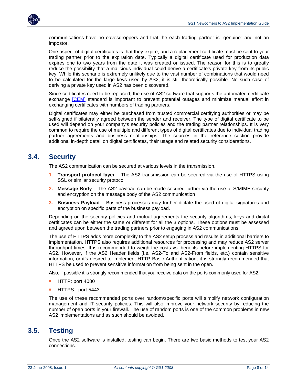<span id="page-7-0"></span>

communications have no eavesdroppers and that the each trading partner is "genuine" and not an impostor.

One aspect of digital certificates is that they expire, and a replacement certificate must be sent to your trading partner prior to the expiration date. Typically a digital certificate used for production data expires one to two years from the date it was created or issued. The reason for this is to greatly reduce the possibility that a malicious individual could derive a certificate's private key from its public key. While this scenario is extremely unlikely due to the vast number of combinations that would need to be calculated for the large keys used by AS2, it is still theoretically possible. No such case of deriving a private key used in AS2 has been discovered.

Since certificates need to be replaced, the use of AS2 software that supports the automated certificate exchange [\[CEM\]](#page-12-0) standard is important to prevent potential outages and minimize manual effort in exchanging certificates with numbers of trading partners.

Digital certificates may either be purchased from trusted commercial certifying authorities or may be self-signed if bilaterally agreed between the sender and receiver. The type of digital certificate to be used will depend on your company's security policies and the trading partner relationships. It is very common to require the use of multiple and different types of digital certificates due to individual trading partner agreements and business relationships. The sources in the reference section provide additional in-depth detail on digital certificates, their usage and related security considerations.

#### <span id="page-7-1"></span>**3.4. Security**

The AS2 communication can be secured at various levels in the transmission.

- **1. Transport protocol layer** The AS2 transmission can be secured via the use of HTTPS using SSL or similar security protocol
- **2. Message Body** The AS2 payload can be made secured further via the use of S/MIME security and encryption on the message body of the AS2 communication
- **3. Business Payload** Business processes may further dictate the used of digital signatures and encryption on specific parts of the business payload.

Depending on the security policies and mutual agreements the security algorithms, keys and digital certificates can be either the same or different for all the 3 options. These options must be assessed and agreed upon between the trading partners prior to engaging in AS2 communications.

The use of HTTPS adds more complexity to the AS2 setup process and results in additional barriers to implementation. HTTPS also requires additional resources for processing and may reduce AS2 server throughput times. It is recommended to weigh the costs vs. benefits before implementing HTTPS for AS2. However, if the AS2 Header fields (i.e. AS2-To and AS2-From fields, etc.) contain sensitive information; or it's desired to implement HTTP Basic Authentication, it is strongly recommended that HTTPS be used to prevent sensitive information from being sent in the open.

Also, if possible it is strongly recommended that you receive data on the ports commonly used for AS2:

- HTTP: port 4080
- **HTTPS: port 5443**

The use of these recommended ports over random/specific ports will simplify network configuration management and IT security policies. This will also improve your network security by reducing the number of open ports in your firewall. The use of random ports is one of the common problems in new AS2 implementations and as such should be avoided.

#### <span id="page-7-2"></span>**3.5. Testing**

Once the AS2 software is installed, testing can begin. There are two basic methods to test your AS2 connections.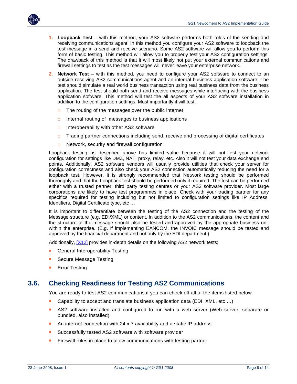<span id="page-8-0"></span>

- **1. Loopback Test** with this method, your AS2 software performs both roles of the sending and receiving communications agent. In this method you configure your AS2 software to loopback the test message in a send and receive scenario. Some AS2 software will allow you to perform this form of basic testing. This method will allow you to properly test your AS2 configuration settings. The drawback of this method is that it will most likely not put your external communications and firewall settings to test as the test messages will never leave your enterprise network.
- **2. Network Test** with this method, you need to configure your AS2 software to connect to an outside receiving AS2 communications agent and an internal business application software. The test should simulate a real world business transaction using real business data from the business application. The test should both send and receive messages while interfacing with the business application software. This method will test the all aspects of your AS2 software installation in addition to the configuration settings. Most importantly it will test;
	- □ The routing of the messages over the public internet
	- □ Internal routing of messages to business applications
	- $\Box$  Interoperability with other AS2 software
	- $\Box$  Trading partner connections including send, receive and processing of digital certificates
	- □ Network, security and firewall configuration

Loopback testing as described above has limited value because it will not test your network configuration for settings like DMZ, NAT, proxy, relay, etc. Also it will not test your data exchange end points. Additionally, AS2 software vendors will usually provide utilities that check your server for configuration correctness and also check your AS2 connection automatically reducing the need for a loopback test. However, it is strongly recommended that Network testing should be performed thoroughly and that the Loopback test should be performed only if required. The test can be performed either with a trusted partner, third party testing centres or your AS2 software provider. Most large corporations are likely to have test programmes in place. Check with your trading partner for any specifics required for testing including but not limited to configuration settings like IP Address, Identifiers, Digital Certificate type, etc …

It is important to differentiate between the testing of the AS2 connection and the testing of the Message structure (e.g. EDI/XML) or content. In addition to the AS2 communications, the content and the structure of the message should also be tested and approved by the appropriate business unit within the enterprise. (E.g. if implementing EANCOM, the INVOIC message should be tested and approved by the financial department and not only by the EDI department.)

Additionally, [\[X12\]](#page-12-0) provides in-depth details on the following AS2 network tests;

- General Interoperability Testing
- Secure Message Testing
- Error Testing

#### <span id="page-8-1"></span>**3.6. Checking Readiness for Testing AS2 Communications**

You are ready to test AS2 communications if you can check off all of the items listed below:

- Capability to accept and translate business application data (EDI, XML, etc ...)
- AS2 software installed and configured to run with a web server (Web server, separate or bundled, also installed)
- An internet connection with 24 x 7 availability and a static IP address
- Successfully tested AS2 software with software provider
- **Firewall rules in place to allow communications with testing partner**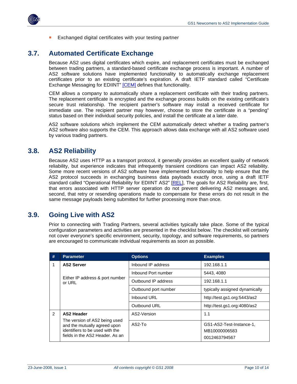<span id="page-9-0"></span>

Exchanged digital certificates with your testing partner

#### <span id="page-9-1"></span>**3.7. Automated Certificate Exchange**

Because AS2 uses digital certificates which expire, and replacement certificates must be exchanged between trading partners, a standard-based certificate exchange process is important. A number of AS2 software solutions have implemented functionality to automatically exchange replacement certificates prior to an existing certificate's expiration. A draft IETF standard called "Certificate Exchange Messaging for EDIINT" [\[CEM\]](#page-12-0) defines that functionality.

CEM allows a company to automatically share a replacement certificate with their trading partners. The replacement certificate is encrypted and the exchange process builds on the existing certificate's secure trust relationship. The recipient partner's software may install a received certificate for immediate use. The recipient partner may however, choose to store the certificate in a "pending" status based on their individual security policies, and install the certificate at a later date.

AS2 software solutions which implement the CEM automatically detect whether a trading partner's AS2 software also supports the CEM. This approach allows data exchange with all AS2 software used by various trading partners.

#### <span id="page-9-2"></span>**3.8. AS2 Reliability**

Because AS2 uses HTTP as a transport protocol, it generally provides an excellent quality of network reliability, but experience indicates that infrequently transient conditions can impact AS2 reliability. Some more recent versions of AS2 software have implemented functionality to help ensure that the AS2 protocol succeeds in exchanging business data payloads exactly once, using a draft IETF standard called "Operational Reliability for EDIINT AS2" [[REL](#page-12-0)], The goals for AS2 Reliability are, first, that errors associated with HTTP server operation do not prevent delivering AS2 messages and, second, that retry or resending operations made to compensate for these errors do not result in the same message payloads being submitted for further processing more than once.

#### <span id="page-9-3"></span>**3.9. Going Live with AS2**

Prior to connecting with Trading Partners, several activities typically take place. Some of the typical configuration parameters and activities are presented in the checklist below. The checklist will certainly not cover everyone's specific environment, security, topology, and software requirements, so partners are encouraged to communicate individual requirements as soon as possible.

| #             | <b>Parameter</b>                                                                                                                    | <b>Options</b>       | <b>Examples</b>                                            |  |
|---------------|-------------------------------------------------------------------------------------------------------------------------------------|----------------------|------------------------------------------------------------|--|
| 1             | <b>AS2 Server</b>                                                                                                                   | Inbound IP address   | 192.168.1.1                                                |  |
|               |                                                                                                                                     | Inbound Port number  | 5443, 4080                                                 |  |
|               | Either IP address & port number<br>or URL                                                                                           | Outbound IP address  | 192.168.1.1                                                |  |
|               |                                                                                                                                     | Outbound port number | typically assigned dynamically                             |  |
|               |                                                                                                                                     | Inbound URL          | http://test.gs1.org:5443/as2                               |  |
|               |                                                                                                                                     | Outbound URL         | http://test.gs1.org:4080/as2                               |  |
| $\mathcal{P}$ | <b>AS2 Header</b>                                                                                                                   | AS2-Version          | 1.1                                                        |  |
|               | The version of AS2 being used<br>and the mutually agreed upon<br>identifiers to be used with the<br>fields in the AS2 Header. As an | $AS2-T0$             | GS1-AS2-Test-Instance-1,<br>MB10000006583<br>0012463794567 |  |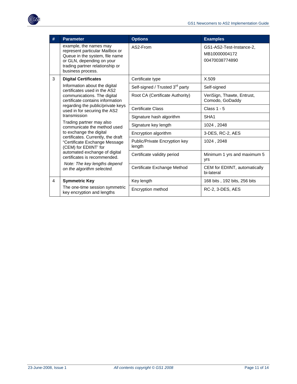

|   | <b>Parameter</b>                                                                                                                                                                                                                                                                                                                                                                                                                                                          | <b>Options</b>                              | <b>Examples</b>                                             |
|---|---------------------------------------------------------------------------------------------------------------------------------------------------------------------------------------------------------------------------------------------------------------------------------------------------------------------------------------------------------------------------------------------------------------------------------------------------------------------------|---------------------------------------------|-------------------------------------------------------------|
|   | example, the names may<br>represent particular Mailbox or<br>Queue in the system, file name<br>or GLN, depending on your<br>trading partner relationship or<br>business process.                                                                                                                                                                                                                                                                                          | AS2-From                                    | GS1-AS2-Test-Instance-2,<br>MB10000004172<br>00470038774890 |
| 3 | <b>Digital Certificates</b>                                                                                                                                                                                                                                                                                                                                                                                                                                               | Certificate type                            | X.509                                                       |
|   | Information about the digital<br>certificates used in the AS2                                                                                                                                                                                                                                                                                                                                                                                                             | Self-signed / Trusted 3 <sup>rd</sup> party | Self-signed                                                 |
|   | communications. The digital<br>certificate contains information<br>regarding the public/private keys<br>used in for securing the AS2<br>transmission<br>Trading partner may also<br>communicate the method used<br>to exchange the digital<br>certificates. Currently, the draft<br>"Certificate Exchange Message<br>(CEM) for EDIINT' for<br>automated exchange of digital<br>certificates is recommended.<br>Note: The key lengths depend<br>on the algorithm selected. | Root CA (Certificate Authority)             | VeriSign, Thawte, Entrust,<br>Comodo, GoDaddy               |
|   |                                                                                                                                                                                                                                                                                                                                                                                                                                                                           | <b>Certificate Class</b>                    | Class $1 - 5$                                               |
|   |                                                                                                                                                                                                                                                                                                                                                                                                                                                                           | Signature hash algorithm                    | SHA <sub>1</sub>                                            |
|   |                                                                                                                                                                                                                                                                                                                                                                                                                                                                           | Signature key length                        | 1024, 2048                                                  |
|   |                                                                                                                                                                                                                                                                                                                                                                                                                                                                           | Encryption algorithm                        | 3-DES, RC-2, AES                                            |
|   |                                                                                                                                                                                                                                                                                                                                                                                                                                                                           | Public/Private Encryption key<br>length     | 1024, 2048                                                  |
|   |                                                                                                                                                                                                                                                                                                                                                                                                                                                                           | Certificate validity period                 | Minimum 1 yrs and maximum 5<br><b>vrs</b>                   |
|   |                                                                                                                                                                                                                                                                                                                                                                                                                                                                           | Certificate Exchange Method                 | CEM for EDIINT, automatically<br>bi-lateral                 |
| 4 | <b>Symmetric Key</b>                                                                                                                                                                                                                                                                                                                                                                                                                                                      | Key length                                  | 168 bits, 192 bits, 256 bits                                |
|   | The one-time session symmetric<br>key encryption and lengths                                                                                                                                                                                                                                                                                                                                                                                                              | Encryption method                           | RC-2, 3-DES, AES                                            |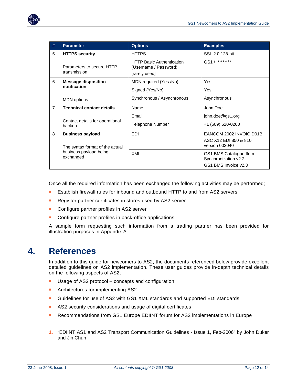<span id="page-11-0"></span>

Once all the required information has been exchanged the following activities may be performed;

- Establish firewall rules for inbound and outbound HTTP to and from AS2 servers
- Register partner certificates in stores used by AS2 server
- Configure partner profiles in AS2 server
- Configure partner profiles in back-office applications

A sample form requesting such information from a trading partner has been provided for illustration purposes in Appendix A.

### <span id="page-11-1"></span>**4. References**

In addition to this guide for newcomers to AS2, the documents referenced below provide excellent detailed guidelines on AS2 implementation. These user guides provide in-depth technical details on the following aspects of AS2;

- Usage of AS2 protocol concepts and configuration
- **Architectures for implementing AS2**
- Guidelines for use of AS2 with GS1 XML standards and supported EDI standards
- AS2 security considerations and usage of digital certificates
- Recommendations from GS1 Europe EDIINT forum for AS2 implementations in Europe
- **1.** "EDIINT AS1 and AS2 Transport Communication Guidelines Issue 1, Feb-2006" by John Duker and Jin Chun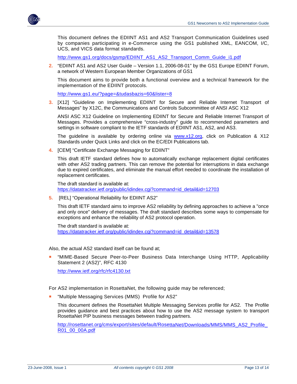<span id="page-12-0"></span>

This document defines the EDIINT AS1 and AS2 Transport Communication Guidelines used by companies participating in e-Commerce using the GS1 published XML, EANCOM, I/C, UCS, and VICS data format standards.

[http://www.gs1.org/docs/gsmp/EDIINT\\_AS1\\_AS2\\_Transport\\_Comm\\_Guide\\_i1.pdf](http://www.gs1.org/docs/gsmp/EDIINT_AS1_AS2_Transport_Comm_Guide_i1.pdf)

**2.** "EDIINT AS1 and AS2 User Guide – Version 1.1, 2006-08-01" by the GS1 Europe EDIINT Forum, a network of Western European Member Organizations of GS1

This document aims to provide both a functional overview and a technical framework for the implementation of the EDIINT protocols.

<http://www.gs1.eu/?page=&tudasbazis=60&lister=8>

**3.** [X12] "Guideline on Implementing EDIINT for Secure and Reliable Internet Transport of Messages" by X12C, the Communications and Controls Subcommittee of ANSI ASC X12

ANSI ASC X12 Guideline on Implementing EDIINT for Secure and Reliable Internet Transport of Messages. Provides a comprehensive "cross-industry" guide to recommended parameters and settings in software compliant to the IETF standards of EDIINT AS1, AS2, and AS3.

The guideline is available by ordering online via [www.x12.org,](http://www.x12.org/) click on Publication & X12 Standards under Quick Links and click on the EC/EDI Publications tab.

**4.** [CEM] "Certificate Exchange Messaging for EDIINT"

This draft IETF standard defines how to automatically exchange replacement digital certificates with other AS2 trading partners. This can remove the potential for interruptions in data exchange due to expired certificates, and eliminate the manual effort needed to coordinate the installation of replacement certificates.

The draft standard is available at: [https://datatracker.ietf.org/public/idindex.cgi?command=id\\_detail&id=12703](https://datatracker.ietf.org/public/idindex.cgi?command=id_detail&id=12703)

**5.** [REL] "Operational Reliability for EDIINT AS2"

This draft IETF standard aims to improve AS2 reliability by defining approaches to achieve a "once and only once" delivery of messages. The draft standard describes some ways to compensate for exceptions and enhance the reliability of AS2 protocol operation.

The draft standard is available at: [https://datatracker.ietf.org/public/idindex.cgi?command=id\\_detail&id=13578](https://datatracker.ietf.org/public/idindex.cgi?command=id_detail&id=13578)

Also, the actual AS2 standard itself can be found at;

 "MIME-Based Secure Peer-to-Peer Business Data Interchange Using HTTP, Applicability Statement 2 (AS2)", RFC 4130

<http://www.ietf.org/rfc/rfc4130.txt>

For AS2 implementation in RosettaNet, the following guide may be referenced;

"Multiple Messaging Services (MMS) Profile for AS2"

This document defines the RosettaNet Multiple Messaging Services profile for AS2. The Profile provides guidance and best practices about how to use the AS2 message system to transport RosettaNet PIP business messages between trading partners.

[http://rosettanet.org/cms/export/sites/default/RosettaNet/Downloads/MMS/MMS\\_AS2\\_Profile\\_](http://rosettanet.org/cms/export/sites/default/RosettaNet/Downloads/MMS/MMS_AS2_Profile_R01_00_00A.pdf) [R01\\_00\\_00A.pdf](http://rosettanet.org/cms/export/sites/default/RosettaNet/Downloads/MMS/MMS_AS2_Profile_R01_00_00A.pdf)